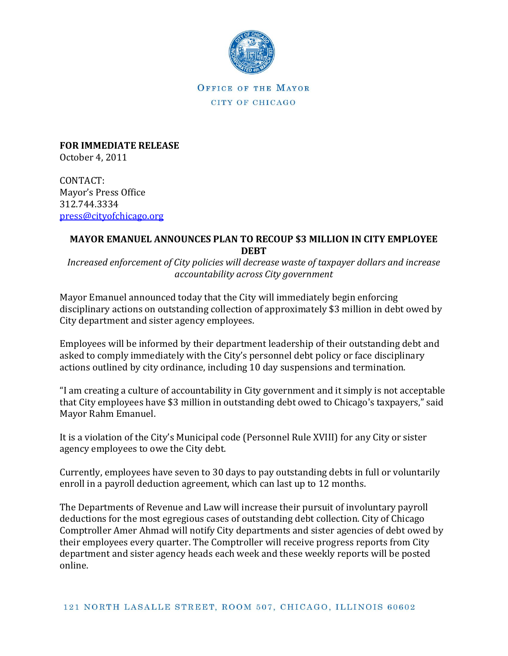

OFFICE OF THE MAYOR CITY OF CHICAGO

**FOR IMMEDIATE RELEASE** October 4, 2011

CONTACT: Mayor's Press Office 312.744.3334 [press@cityofchicago.org](mailto:press@cityofchicago.org)

## **MAYOR EMANUEL ANNOUNCES PLAN TO RECOUP \$3 MILLION IN CITY EMPLOYEE DEBT**

*Increased enforcement of City policies will decrease waste of taxpayer dollars and increase accountability across City government*

Mayor Emanuel announced today that the City will immediately begin enforcing disciplinary actions on outstanding collection of approximately \$3 million in debt owed by City department and sister agency employees.

Employees will be informed by their department leadership of their outstanding debt and asked to comply immediately with the City's personnel debt policy or face disciplinary actions outlined by city ordinance, including 10 day suspensions and termination.

"I am creating a culture of accountability in City government and it simply is not acceptable that City employees have \$3 million in outstanding debt owed to Chicago's taxpayers," said Mayor Rahm Emanuel.

It is a violation of the City's Municipal code (Personnel Rule XVIII) for any City or sister agency employees to owe the City debt.

Currently, employees have seven to 30 days to pay outstanding debts in full or voluntarily enroll in a payroll deduction agreement, which can last up to 12 months.

The Departments of Revenue and Law will increase their pursuit of involuntary payroll deductions for the most egregious cases of outstanding debt collection. City of Chicago Comptroller Amer Ahmad will notify City departments and sister agencies of debt owed by their employees every quarter. The Comptroller will receive progress reports from City department and sister agency heads each week and these weekly reports will be posted online.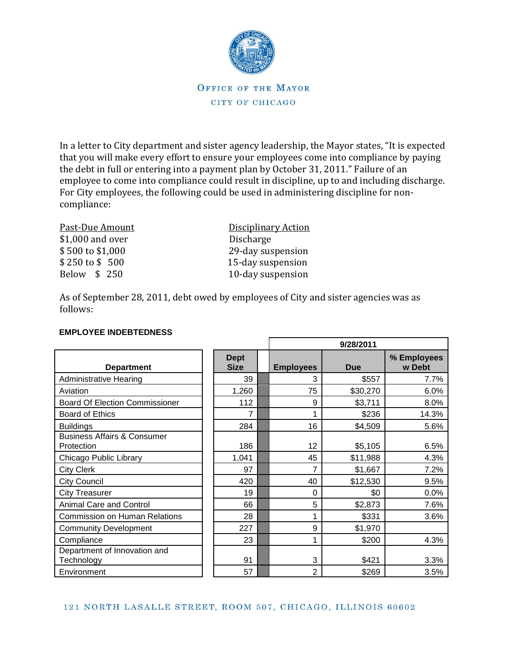

OFFICE OF THE MAYOR CITY OF CHICAGO

In a letter to City department and sister agency leadership, the Mayor states, "It is expected that you will make every effort to ensure your employees come into compliance by paying the debt in full or entering into a payment plan by October 31, 2011." Failure of an employee to come into compliance could result in discipline, up to and including discharge. For City employees, the following could be used in administering discipline for noncompliance:

\$1,000 and over Discharge

Past-Due Amount Disciplinary Action \$ 500 to \$1,000 29-day suspension \$250 to \$500 15-day suspension<br>Below \$250 10-day suspension 10-day suspension

As of September 28, 2011, debt owed by employees of City and sister agencies was as follows:

|                                                      |                            | 9/28/2011        |            |                       |  |
|------------------------------------------------------|----------------------------|------------------|------------|-----------------------|--|
| <b>Department</b>                                    | <b>Dept</b><br><b>Size</b> | <b>Employees</b> | <b>Due</b> | % Employees<br>w Debt |  |
| <b>Administrative Hearing</b>                        | 39                         | 3                | \$557      | 7.7%                  |  |
| Aviation                                             | 1,260                      | 75               | \$30,270   | 6.0%                  |  |
| <b>Board Of Election Commissioner</b>                | 112                        | 9                | \$3,711    | 8.0%                  |  |
| <b>Board of Ethics</b>                               | 7                          |                  | \$236      | 14.3%                 |  |
| <b>Buildings</b>                                     | 284                        | 16               | \$4,509    | 5.6%                  |  |
| <b>Business Affairs &amp; Consumer</b><br>Protection | 186                        | 12               | \$5,105    | 6.5%                  |  |
| Chicago Public Library                               | 1,041                      | 45               | \$11,988   | 4.3%                  |  |
| <b>City Clerk</b>                                    | 97                         | 7                | \$1,667    | 7.2%                  |  |
| <b>City Council</b>                                  | 420                        | 40               | \$12,530   | 9.5%                  |  |
| <b>City Treasurer</b>                                | 19                         | 0                | \$0        | 0.0%                  |  |
| <b>Animal Care and Control</b>                       | 66                         | 5                | \$2,873    | 7.6%                  |  |
| <b>Commission on Human Relations</b>                 | 28                         | 1                | \$331      | 3.6%                  |  |
| <b>Community Development</b>                         | 227                        | 9                | \$1,970    |                       |  |
| Compliance                                           | 23                         | 1                | \$200      | 4.3%                  |  |
| Department of Innovation and<br>Technology           | 91                         | 3                | \$421      | 3.3%                  |  |
| Environment                                          | 57                         | 2                | \$269      | 3.5%                  |  |

## **EMPLOYEE INDEBTEDNESS**